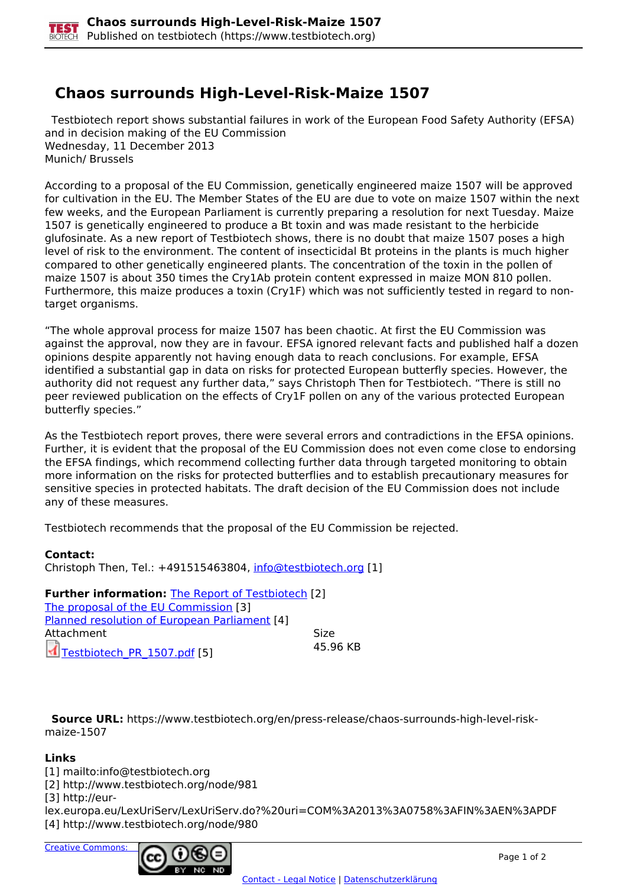## **Chaos surrounds High-Level-Risk-Maize 1507**

 Testbiotech report shows substantial failures in work of the European Food Safety Authority (EFSA) and in decision making of the EU Commission Wednesday, 11 December 2013 Munich/ Brussels

According to a proposal of the EU Commission, genetically engineered maize 1507 will be approved for cultivation in the EU. The Member States of the EU are due to vote on maize 1507 within the next few weeks, and the European Parliament is currently preparing a resolution for next Tuesday. Maize 1507 is genetically engineered to produce a Bt toxin and was made resistant to the herbicide glufosinate. As a new report of Testbiotech shows, there is no doubt that maize 1507 poses a high level of risk to the environment. The content of insecticidal Bt proteins in the plants is much higher compared to other genetically engineered plants. The concentration of the toxin in the pollen of maize 1507 is about 350 times the Cry1Ab protein content expressed in maize MON 810 pollen. Furthermore, this maize produces a toxin (Cry1F) which was not sufficiently tested in regard to nontarget organisms.

"The whole approval process for maize 1507 has been chaotic. At first the EU Commission was against the approval, now they are in favour. EFSA ignored relevant facts and published half a dozen opinions despite apparently not having enough data to reach conclusions. For example, EFSA identified a substantial gap in data on risks for protected European butterfly species. However, the authority did not request any further data," says Christoph Then for Testbiotech. "There is still no peer reviewed publication on the effects of Cry1F pollen on any of the various protected European butterfly species."

As the Testbiotech report proves, there were several errors and contradictions in the EFSA opinions. Further, it is evident that the proposal of the EU Commission does not even come close to endorsing the EFSA findings, which recommend collecting further data through targeted monitoring to obtain more information on the risks for protected butterflies and to establish precautionary measures for sensitive species in protected habitats. The draft decision of the EU Commission does not include any of these measures.

Testbiotech recommends that the proposal of the EU Commission be rejected.

## **Contact:**

Christoph Then, Tel.: +491515463804, [info@testbiotech.org](mailto:info@testbiotech.org) [1]

**Further information: The Report of Testbiotech [2]** The proposal of the EU Commission [3] Planned resolution of European Parliament [4] Attachment Size Testbiotech\_PR\_1507.pdf [5] 45.96 KB

 **Source URL:** https://www.testbiotech.org/en/press-release/chaos-surrounds-high-level-riskmaize-1507

## **Links**

[1] mailto:info@testbiotech.org

[2] http://www.testbiotech.org/node/981

[3] http://eur-

lex.europa.eu/LexUriServ/LexUriServ.do?%20uri=COM%3A2013%3A0758%3AFIN%3AEN%3APDF [4] http://www.testbiotech.org/node/980